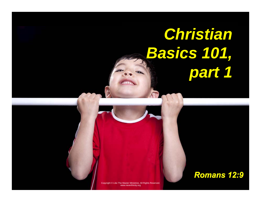# *Christian Basics 101, part 1*

Copyright © Like The Master Ministries. All Rights Reserved. www.neverthirsty.org

#### *Romans 12:9*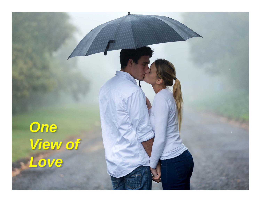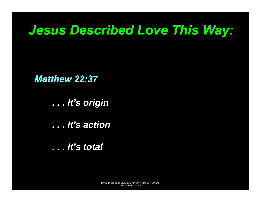## *Jesus Described Love This Way:*

*Matthew 22:37* 

*. . . It's origin* 

*. . . It's action* 

*. . . It's total*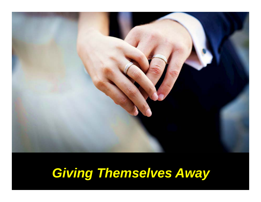

## *Giving Themselves Away*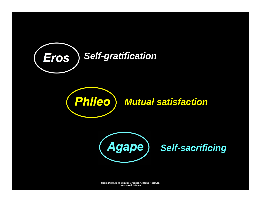





*Self-sacrificing* 

Copyright © Like The Master Ministries. All Rights Reserved. www.neverthirsty.org www.neverthirsty.org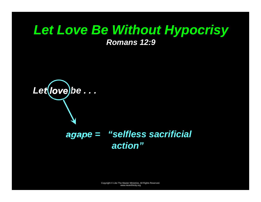# *Let Love Be Without Hypocrisy*

*Romans 12:9* 



#### *agape = "selfless sacrificial action"*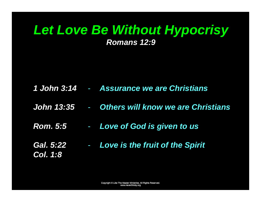#### *Let Love Be Without Hypocrisy Romans 12:9*

- *1 John 3:14 Assurance we are Christians*
- *John 13:35 Others will know we are Christians*
- *Rom. 5:5*  -*Love of God is given to us*
- *Gal. 5:22*  -*Col. 1:8 Love is the fruit of the Spirit*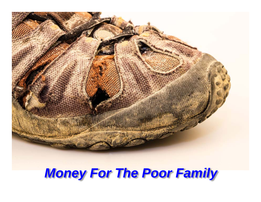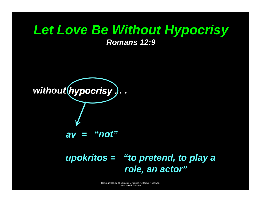## *Let Love Be Without Hypocrisy*

*Romans 12:9* 



#### *upokritos = "to pretend, to play a role, an actor"*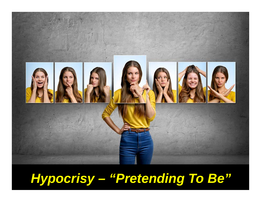

# *Hypocrisy – "Pretending To Be"*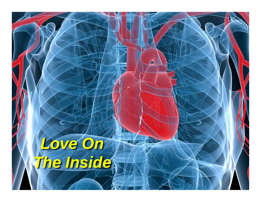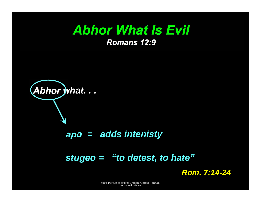#### *Abhor What Is Evil Romans 12:9*

# *Abhor what. . .*

#### *apo = adds intenisty*

#### *stugeo = "to detest, to hate"*

*Rom. 7:14-24*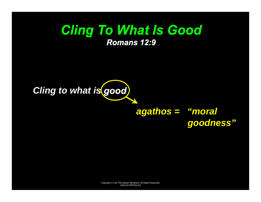#### *Cling To What Is Good Romans 12:9*



#### *agathos = "moral goodness"*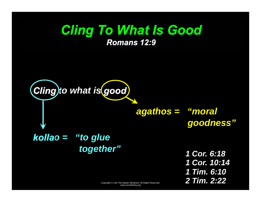### Copyright © Like The Master Ministries. All Rights Reserved. www.neverthirsty.org *Cling To What Is Good Romans 12:9 Cling to what is good kollao = "to glue together" agathos = "moral goodness" 1 Cor. 6:18 1 Cor. 10:14 1 Tim. 6:10 2 Tim. 2:22*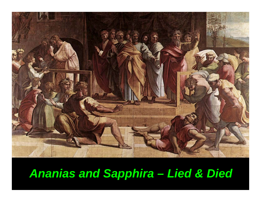

## *Ananias and Sapphira – Lied & Died*